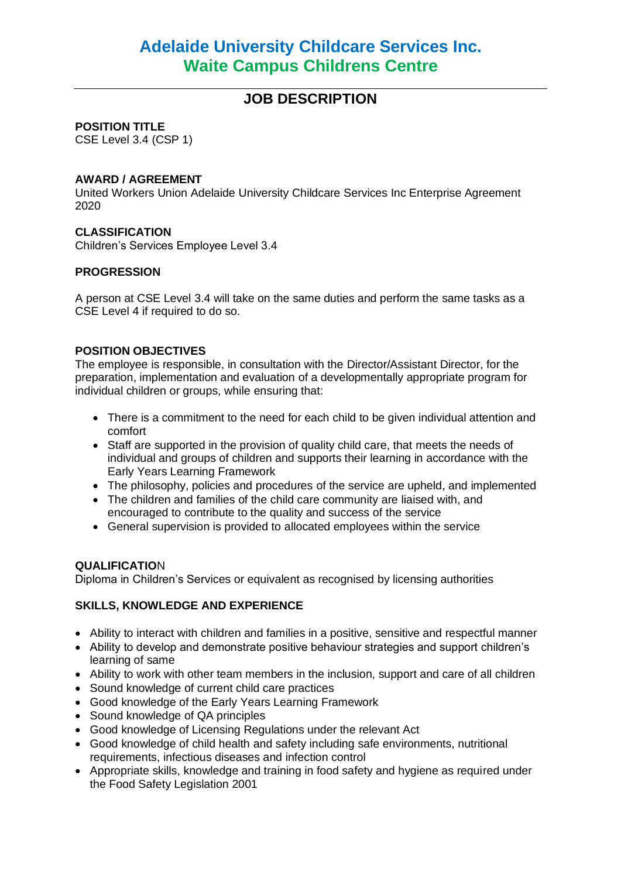# **JOB DESCRIPTION**

#### **POSITION TITLE**

CSE Level 3.4 (CSP 1)

#### **AWARD / AGREEMENT**

United Workers Union Adelaide University Childcare Services Inc Enterprise Agreement 2020

# **CLASSIFICATION**

Children's Services Employee Level 3.4

# **PROGRESSION**

A person at CSE Level 3.4 will take on the same duties and perform the same tasks as a CSE Level 4 if required to do so.

# **POSITION OBJECTIVES**

The employee is responsible, in consultation with the Director/Assistant Director, for the preparation, implementation and evaluation of a developmentally appropriate program for individual children or groups, while ensuring that:

- There is a commitment to the need for each child to be given individual attention and comfort
- Staff are supported in the provision of quality child care, that meets the needs of individual and groups of children and supports their learning in accordance with the Early Years Learning Framework
- The philosophy, policies and procedures of the service are upheld, and implemented
- The children and families of the child care community are liaised with, and encouraged to contribute to the quality and success of the service
- General supervision is provided to allocated employees within the service

#### **QUALIFICATIO**N

Diploma in Children's Services or equivalent as recognised by licensing authorities

#### **SKILLS, KNOWLEDGE AND EXPERIENCE**

- Ability to interact with children and families in a positive, sensitive and respectful manner
- Ability to develop and demonstrate positive behaviour strategies and support children's learning of same
- Ability to work with other team members in the inclusion, support and care of all children
- Sound knowledge of current child care practices
- Good knowledge of the Early Years Learning Framework
- Sound knowledge of QA principles
- Good knowledge of Licensing Regulations under the relevant Act
- Good knowledge of child health and safety including safe environments, nutritional requirements, infectious diseases and infection control
- Appropriate skills, knowledge and training in food safety and hygiene as required under the Food Safety Legislation 2001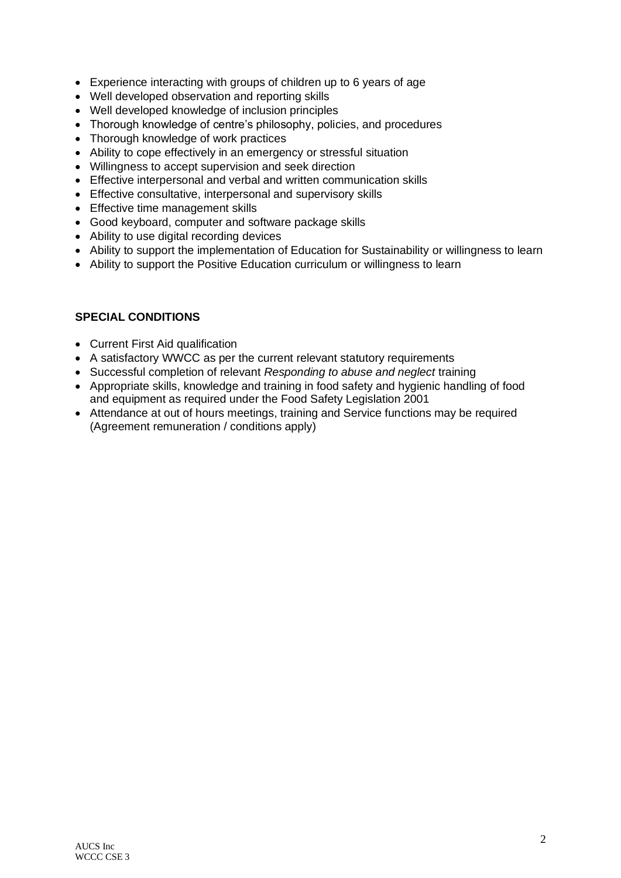- Experience interacting with groups of children up to 6 years of age
- Well developed observation and reporting skills
- Well developed knowledge of inclusion principles
- Thorough knowledge of centre's philosophy, policies, and procedures
- Thorough knowledge of work practices
- Ability to cope effectively in an emergency or stressful situation
- Willingness to accept supervision and seek direction
- Effective interpersonal and verbal and written communication skills
- Effective consultative, interpersonal and supervisory skills
- Effective time management skills
- Good keyboard, computer and software package skills
- Ability to use digital recording devices
- Ability to support the implementation of Education for Sustainability or willingness to learn
- Ability to support the Positive Education curriculum or willingness to learn

# **SPECIAL CONDITIONS**

- Current First Aid qualification
- A satisfactory WWCC as per the current relevant statutory requirements
- Successful completion of relevant *Responding to abuse and neglect* training
- Appropriate skills, knowledge and training in food safety and hygienic handling of food and equipment as required under the Food Safety Legislation 2001
- Attendance at out of hours meetings, training and Service functions may be required (Agreement remuneration / conditions apply)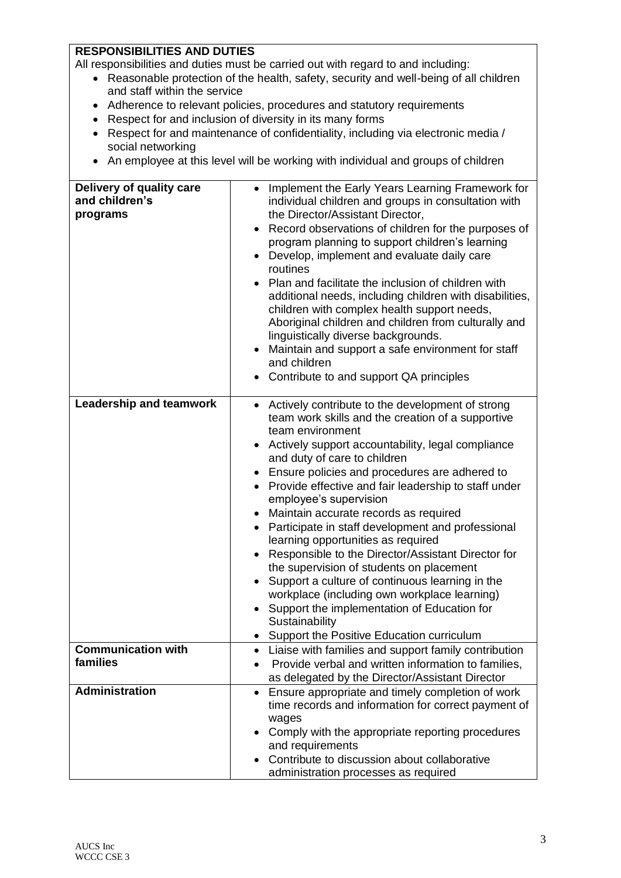# **RESPONSIBILITIES AND DUTIES**

All responsibilities and duties must be carried out with regard to and including:

- Reasonable protection of the health, safety, security and well-being of all children and staff within the service
- Adherence to relevant policies, procedures and statutory requirements
- Respect for and inclusion of diversity in its many forms
- Respect for and maintenance of confidentiality, including via electronic media / social networking
- An employee at this level will be working with individual and groups of children

| Delivery of quality care<br>and children's<br>programs | Implement the Early Years Learning Framework for<br>individual children and groups in consultation with<br>the Director/Assistant Director,<br>Record observations of children for the purposes of<br>$\bullet$<br>program planning to support children's learning<br>Develop, implement and evaluate daily care<br>routines<br>Plan and facilitate the inclusion of children with<br>additional needs, including children with disabilities,<br>children with complex health support needs,<br>Aboriginal children and children from culturally and<br>linguistically diverse backgrounds.<br>Maintain and support a safe environment for staff<br>and children<br>Contribute to and support QA principles                                                                                                               |
|--------------------------------------------------------|---------------------------------------------------------------------------------------------------------------------------------------------------------------------------------------------------------------------------------------------------------------------------------------------------------------------------------------------------------------------------------------------------------------------------------------------------------------------------------------------------------------------------------------------------------------------------------------------------------------------------------------------------------------------------------------------------------------------------------------------------------------------------------------------------------------------------|
| <b>Leadership and teamwork</b>                         | • Actively contribute to the development of strong<br>team work skills and the creation of a supportive<br>team environment<br>Actively support accountability, legal compliance<br>and duty of care to children<br>Ensure policies and procedures are adhered to<br>Provide effective and fair leadership to staff under<br>employee's supervision<br>Maintain accurate records as required<br>Participate in staff development and professional<br>$\bullet$<br>learning opportunities as required<br>Responsible to the Director/Assistant Director for<br>the supervision of students on placement<br>Support a culture of continuous learning in the<br>workplace (including own workplace learning)<br>Support the implementation of Education for<br>Sustainability<br>• Support the Positive Education curriculum |
| <b>Communication with</b><br>families                  | Liaise with families and support family contribution                                                                                                                                                                                                                                                                                                                                                                                                                                                                                                                                                                                                                                                                                                                                                                      |
|                                                        | Provide verbal and written information to families,<br>as delegated by the Director/Assistant Director                                                                                                                                                                                                                                                                                                                                                                                                                                                                                                                                                                                                                                                                                                                    |
| <b>Administration</b>                                  | Ensure appropriate and timely completion of work<br>$\bullet$<br>time records and information for correct payment of<br>wages<br>Comply with the appropriate reporting procedures<br>and requirements<br>Contribute to discussion about collaborative<br>administration processes as required                                                                                                                                                                                                                                                                                                                                                                                                                                                                                                                             |